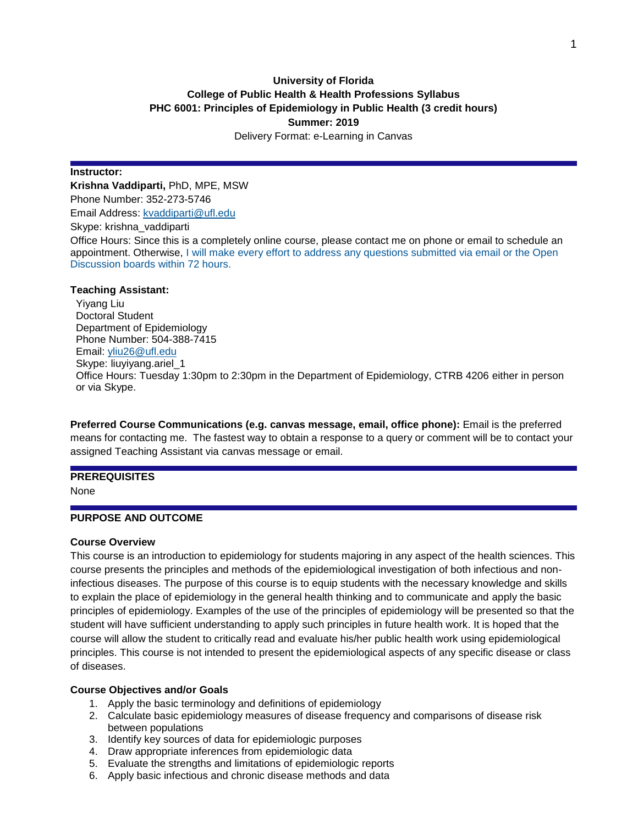# **University of Florida College of Public Health & Health Professions Syllabus PHC 6001: Principles of Epidemiology in Public Health (3 credit hours) Summer: 2019** Delivery Format: e-Learning in Canvas

#### **Instructor:**

**Krishna Vaddiparti,** PhD, MPE, MSW Phone Number: 352-273-5746 Email Address: [kvaddiparti@ufl.edu](mailto:kvaddiparti@ufl.edu) Skype: krishna\_vaddiparti Office Hours: Since this is a completely online course, please contact me on phone or email to schedule an appointment. Otherwise, I will make every effort to address any questions submitted via email or the Open Discussion boards within 72 hours.

#### **Teaching Assistant:**

Yiyang Liu Doctoral Student Department of Epidemiology Phone Number: 504-388-7415 Email: [yliu26@ufl.edu](mailto:yliu26@ufl.edu) Skype: liuyiyang.ariel\_1 Office Hours: Tuesday 1:30pm to 2:30pm in the Department of Epidemiology, CTRB 4206 either in person or via Skype.

**Preferred Course Communications (e.g. canvas message, email, office phone):** Email is the preferred means for contacting me. The fastest way to obtain a response to a query or comment will be to contact your assigned Teaching Assistant via canvas message or email.

### **PREREQUISITES**

None

# **PURPOSE AND OUTCOME**

#### **Course Overview**

This course is an introduction to epidemiology for students majoring in any aspect of the health sciences. This course presents the principles and methods of the epidemiological investigation of both infectious and noninfectious diseases. The purpose of this course is to equip students with the necessary knowledge and skills to explain the place of epidemiology in the general health thinking and to communicate and apply the basic principles of epidemiology. Examples of the use of the principles of epidemiology will be presented so that the student will have sufficient understanding to apply such principles in future health work. It is hoped that the course will allow the student to critically read and evaluate his/her public health work using epidemiological principles. This course is not intended to present the epidemiological aspects of any specific disease or class of diseases.

#### **Course Objectives and/or Goals**

- 1. Apply the basic terminology and definitions of epidemiology
- 2. Calculate basic epidemiology measures of disease frequency and comparisons of disease risk between populations
- 3. Identify key sources of data for epidemiologic purposes
- 4. Draw appropriate inferences from epidemiologic data
- 5. Evaluate the strengths and limitations of epidemiologic reports
- 6. Apply basic infectious and chronic disease methods and data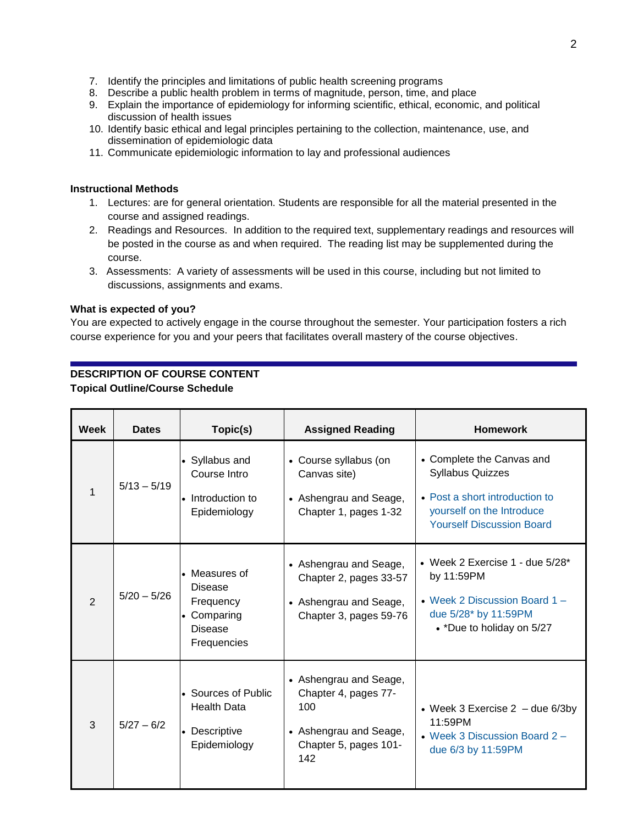- 7. Identify the principles and limitations of public health screening programs
- 8. Describe a public health problem in terms of magnitude, person, time, and place
- 9. Explain the importance of epidemiology for informing scientific, ethical, economic, and political discussion of health issues
- 10. Identify basic ethical and legal principles pertaining to the collection, maintenance, use, and dissemination of epidemiologic data
- 11. Communicate epidemiologic information to lay and professional audiences

### **Instructional Methods**

- 1. Lectures: are for general orientation. Students are responsible for all the material presented in the course and assigned readings.
- 2. Readings and Resources. In addition to the required text, supplementary readings and resources will be posted in the course as and when required. The reading list may be supplemented during the course.
- 3. Assessments: A variety of assessments will be used in this course, including but not limited to discussions, assignments and exams.

### **What is expected of you?**

You are expected to actively engage in the course throughout the semester. Your participation fosters a rich course experience for you and your peers that facilitates overall mastery of the course objectives.

# **DESCRIPTION OF COURSE CONTENT**

#### **Topical Outline/Course Schedule**

| Week           | <b>Dates</b>  | Topic(s)                                                                                   | <b>Assigned Reading</b>                                                                                         | <b>Homework</b>                                                                                                                                         |
|----------------|---------------|--------------------------------------------------------------------------------------------|-----------------------------------------------------------------------------------------------------------------|---------------------------------------------------------------------------------------------------------------------------------------------------------|
| 1              | $5/13 - 5/19$ | • Syllabus and<br>Course Intro<br>• Introduction to<br>Epidemiology                        | • Course syllabus (on<br>Canvas site)<br>• Ashengrau and Seage,<br>Chapter 1, pages 1-32                        | • Complete the Canvas and<br><b>Syllabus Quizzes</b><br>• Post a short introduction to<br>yourself on the Introduce<br><b>Yourself Discussion Board</b> |
| $\overline{2}$ | $5/20 - 5/26$ | • Measures of<br><b>Disease</b><br>Frequency<br>Comparing<br><b>Disease</b><br>Frequencies | • Ashengrau and Seage,<br>Chapter 2, pages 33-57<br>• Ashengrau and Seage,<br>Chapter 3, pages 59-76            | • Week 2 Exercise 1 - due $5/28$ <sup>*</sup><br>by 11:59PM<br>• Week 2 Discussion Board 1 -<br>due 5/28* by 11:59PM<br>• *Due to holiday on 5/27       |
| 3              | $5/27 - 6/2$  | • Sources of Public<br><b>Health Data</b><br>• Descriptive<br>Epidemiology                 | • Ashengrau and Seage,<br>Chapter 4, pages 77-<br>100<br>• Ashengrau and Seage,<br>Chapter 5, pages 101-<br>142 | • Week 3 Exercise $2 -$ due 6/3by<br>11:59PM<br>• Week 3 Discussion Board 2 -<br>due 6/3 by 11:59PM                                                     |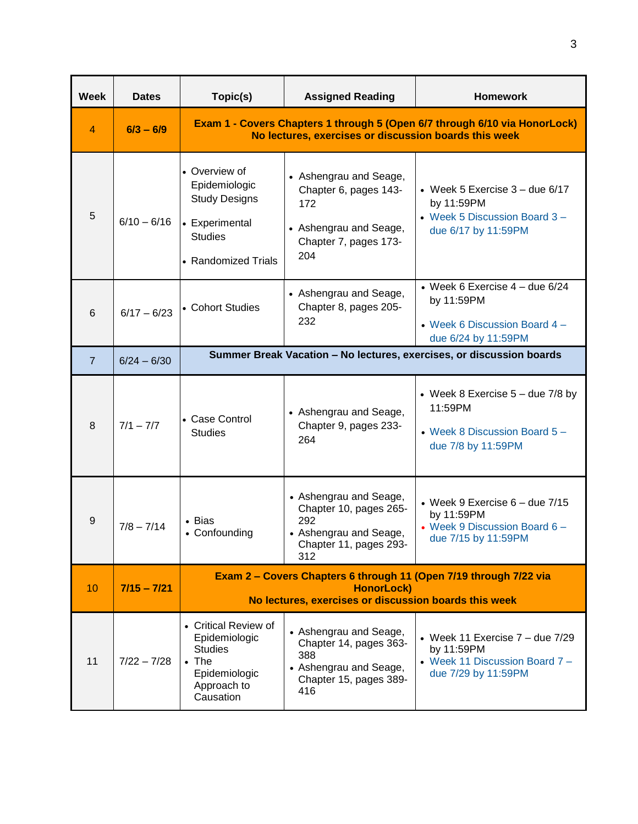| <b>Week</b>    | <b>Dates</b>  | Topic(s)                                                                                                                                        | <b>Assigned Reading</b>                                                                                            | <b>Homework</b>                                                                                            |  |  |  |  |  |  |  |
|----------------|---------------|-------------------------------------------------------------------------------------------------------------------------------------------------|--------------------------------------------------------------------------------------------------------------------|------------------------------------------------------------------------------------------------------------|--|--|--|--|--|--|--|
| 4              | $6/3 - 6/9$   | Exam 1 - Covers Chapters 1 through 5 (Open 6/7 through 6/10 via HonorLock)<br>No lectures, exercises or discussion boards this week             |                                                                                                                    |                                                                                                            |  |  |  |  |  |  |  |
| 5              | $6/10 - 6/16$ | • Overview of<br>Epidemiologic<br><b>Study Designs</b><br>• Experimental<br><b>Studies</b><br>• Randomized Trials                               | • Ashengrau and Seage,<br>Chapter 6, pages 143-<br>172<br>• Ashengrau and Seage,<br>Chapter 7, pages 173-<br>204   | • Week 5 Exercise $3 -$ due $6/17$<br>by 11:59PM<br>• Week 5 Discussion Board 3 -<br>due 6/17 by 11:59PM   |  |  |  |  |  |  |  |
| 6              | $6/17 - 6/23$ | • Cohort Studies                                                                                                                                | • Ashengrau and Seage,<br>Chapter 8, pages 205-<br>232                                                             | • Week 6 Exercise $4 -$ due 6/24<br>by 11:59PM<br>• Week 6 Discussion Board 4 -<br>due 6/24 by 11:59PM     |  |  |  |  |  |  |  |
| $\overline{7}$ | $6/24 - 6/30$ | Summer Break Vacation - No lectures, exercises, or discussion boards                                                                            |                                                                                                                    |                                                                                                            |  |  |  |  |  |  |  |
| 8              | $7/1 - 7/7$   | • Case Control<br><b>Studies</b>                                                                                                                | • Ashengrau and Seage,<br>Chapter 9, pages 233-<br>264                                                             | • Week 8 Exercise $5 -$ due 7/8 by<br>11:59PM<br>• Week 8 Discussion Board 5 -<br>due 7/8 by 11:59PM       |  |  |  |  |  |  |  |
| 9              | $7/8 - 7/14$  | • Bias<br>• Confounding                                                                                                                         | • Ashengrau and Seage,<br>Chapter 10, pages 265-<br>292<br>• Ashengrau and Seage,<br>Chapter 11, pages 293-<br>312 | • Week 9 Exercise $6 -$ due $7/15$<br>by 11:59PM<br>• Week 9 Discussion Board 6 -<br>due 7/15 by 11:59PM   |  |  |  |  |  |  |  |
| 10             | $7/15 - 7/21$ | Exam 2 - Covers Chapters 6 through 11 (Open 7/19 through 7/22 via<br><b>HonorLock)</b><br>No lectures, exercises or discussion boards this week |                                                                                                                    |                                                                                                            |  |  |  |  |  |  |  |
| 11             | $7/22 - 7/28$ | • Critical Review of<br>Epidemiologic<br><b>Studies</b><br>$\bullet$ The<br>Epidemiologic<br>Approach to<br>Causation                           | • Ashengrau and Seage,<br>Chapter 14, pages 363-<br>388<br>• Ashengrau and Seage,<br>Chapter 15, pages 389-<br>416 | • Week 11 Exercise $7 -$ due $7/29$<br>by 11:59PM<br>• Week 11 Discussion Board 7 -<br>due 7/29 by 11:59PM |  |  |  |  |  |  |  |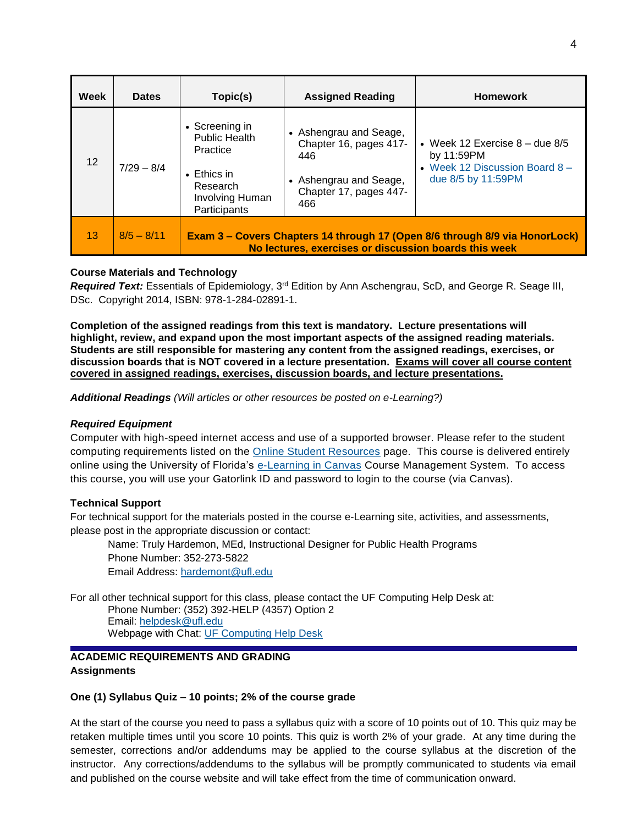| Week | <b>Dates</b> | Topic(s)                                                                                                                 | <b>Assigned Reading</b>                                                                                            | <b>Homework</b>                                                                                          |
|------|--------------|--------------------------------------------------------------------------------------------------------------------------|--------------------------------------------------------------------------------------------------------------------|----------------------------------------------------------------------------------------------------------|
| 12   | $7/29 - 8/4$ | • Screening in<br><b>Public Health</b><br>Practice<br>$\bullet$ Ethics in<br>Research<br>Involving Human<br>Participants | • Ashengrau and Seage,<br>Chapter 16, pages 417-<br>446<br>• Ashengrau and Seage,<br>Chapter 17, pages 447-<br>466 | • Week 12 Exercise $8 -$ due $8/5$<br>by 11:59PM<br>• Week 12 Discussion Board 8 -<br>due 8/5 by 11:59PM |
| 13   | $8/5 - 8/11$ |                                                                                                                          | No lectures, exercises or discussion boards this week                                                              | Exam 3 - Covers Chapters 14 through 17 (Open 8/6 through 8/9 via HonorLock)                              |

# **Course Materials and Technology**

*Required Text:* Essentials of Epidemiology, 3<sup>rd</sup> Edition by Ann Aschengrau, ScD, and George R. Seage III, DSc. Copyright 2014, ISBN: 978-1-284-02891-1.

**Completion of the assigned readings from this text is mandatory. Lecture presentations will highlight, review, and expand upon the most important aspects of the assigned reading materials. Students are still responsible for mastering any content from the assigned readings, exercises, or discussion boards that is NOT covered in a lecture presentation. Exams will cover all course content covered in assigned readings, exercises, discussion boards, and lecture presentations.**

*Additional Readings (Will articles or other resources be posted on e-Learning?)*

#### *Required Equipment*

Computer with high-speed internet access and use of a supported browser. Please refer to the student computing requirements listed on the [Online Student Resources](http://studentlife.online.mph.ufl.edu/e-learning/e-learning-in-canvas-technical-requirements/) page. This course is delivered entirely online using the University of Florida's [e-Learning in Canvas](http://elearning.ufl.edu/) Course Management System. To access this course, you will use your Gatorlink ID and password to login to the course (via Canvas).

#### **Technical Support**

For technical support for the materials posted in the course e-Learning site, activities, and assessments, please post in the appropriate discussion or contact:

Name: Truly Hardemon, MEd, Instructional Designer for Public Health Programs Phone Number: 352-273-5822 Email Address: [hardemont@ufl.edu](mailto:hardemont@ufl.edu)

For all other technical support for this class, please contact the UF Computing Help Desk at:

Phone Number: (352) 392-HELP (4357) Option 2 Email: [helpdesk@ufl.edu](mailto:helpdesk@ufl.edu) Webpage with Chat: [UF Computing Help Desk](http://helpdesk.ufl.edu/)

# **ACADEMIC REQUIREMENTS AND GRADING Assignments**

#### **One (1) Syllabus Quiz – 10 points; 2% of the course grade**

At the start of the course you need to pass a syllabus quiz with a score of 10 points out of 10. This quiz may be retaken multiple times until you score 10 points. This quiz is worth 2% of your grade. At any time during the semester, corrections and/or addendums may be applied to the course syllabus at the discretion of the instructor. Any corrections/addendums to the syllabus will be promptly communicated to students via email and published on the course website and will take effect from the time of communication onward.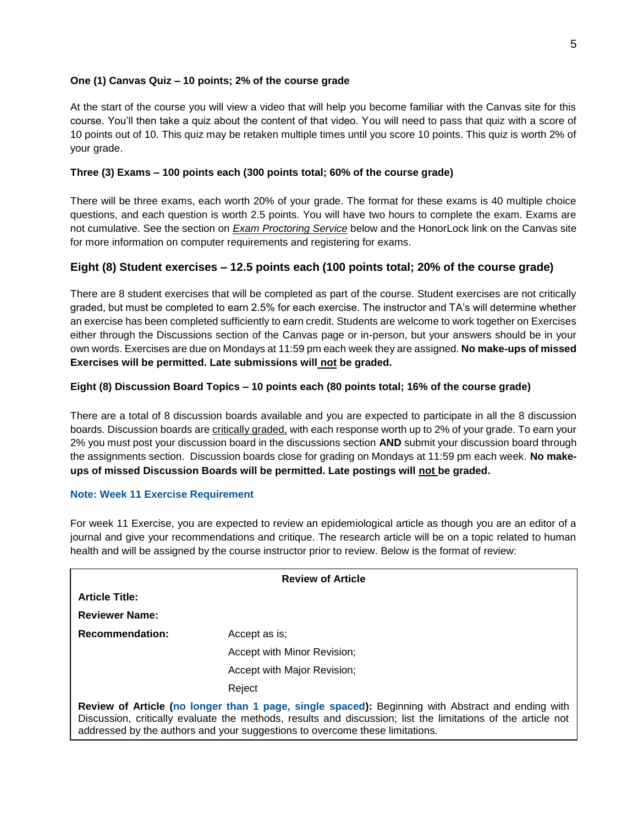# **One (1) Canvas Quiz – 10 points; 2% of the course grade**

At the start of the course you will view a video that will help you become familiar with the Canvas site for this course. You'll then take a quiz about the content of that video. You will need to pass that quiz with a score of 10 points out of 10. This quiz may be retaken multiple times until you score 10 points. This quiz is worth 2% of your grade.

### **Three (3) Exams – 100 points each (300 points total; 60% of the course grade)**

There will be three exams, each worth 20% of your grade. The format for these exams is 40 multiple choice questions, and each question is worth 2.5 points. You will have two hours to complete the exam. Exams are not cumulative. See the section on *Exam Proctoring Service* below and the HonorLock link on the Canvas site for more information on computer requirements and registering for exams.

# **Eight (8) Student exercises – 12.5 points each (100 points total; 20% of the course grade)**

There are 8 student exercises that will be completed as part of the course. Student exercises are not critically graded, but must be completed to earn 2.5% for each exercise. The instructor and TA's will determine whether an exercise has been completed sufficiently to earn credit. Students are welcome to work together on Exercises either through the Discussions section of the Canvas page or in-person, but your answers should be in your own words. Exercises are due on Mondays at 11:59 pm each week they are assigned. **No make-ups of missed Exercises will be permitted. Late submissions will not be graded.**

# **Eight (8) Discussion Board Topics – 10 points each (80 points total; 16% of the course grade)**

There are a total of 8 discussion boards available and you are expected to participate in all the 8 discussion boards. Discussion boards are *critically graded*, with each response worth up to 2% of your grade. To earn your 2% you must post your discussion board in the discussions section **AND** submit your discussion board through the assignments section. Discussion boards close for grading on Mondays at 11:59 pm each week. **No makeups of missed Discussion Boards will be permitted. Late postings will not be graded.**

#### **Note: Week 11 Exercise Requirement**

For week 11 Exercise, you are expected to review an epidemiological article as though you are an editor of a journal and give your recommendations and critique. The research article will be on a topic related to human health and will be assigned by the course instructor prior to review. Below is the format of review:

| <b>Review of Article</b> |                                                                                                                                                                                                                                                                                                   |  |  |  |  |  |  |
|--------------------------|---------------------------------------------------------------------------------------------------------------------------------------------------------------------------------------------------------------------------------------------------------------------------------------------------|--|--|--|--|--|--|
| <b>Article Title:</b>    |                                                                                                                                                                                                                                                                                                   |  |  |  |  |  |  |
| <b>Reviewer Name:</b>    |                                                                                                                                                                                                                                                                                                   |  |  |  |  |  |  |
| <b>Recommendation:</b>   | Accept as is:                                                                                                                                                                                                                                                                                     |  |  |  |  |  |  |
|                          | Accept with Minor Revision:                                                                                                                                                                                                                                                                       |  |  |  |  |  |  |
|                          | Accept with Major Revision;                                                                                                                                                                                                                                                                       |  |  |  |  |  |  |
|                          | Reject                                                                                                                                                                                                                                                                                            |  |  |  |  |  |  |
|                          | Review of Article (no longer than 1 page, single spaced): Beginning with Abstract and ending with<br>Discussion, critically evaluate the methods, results and discussion; list the limitations of the article not<br>addressed by the authors and your suggestions to overcome these limitations. |  |  |  |  |  |  |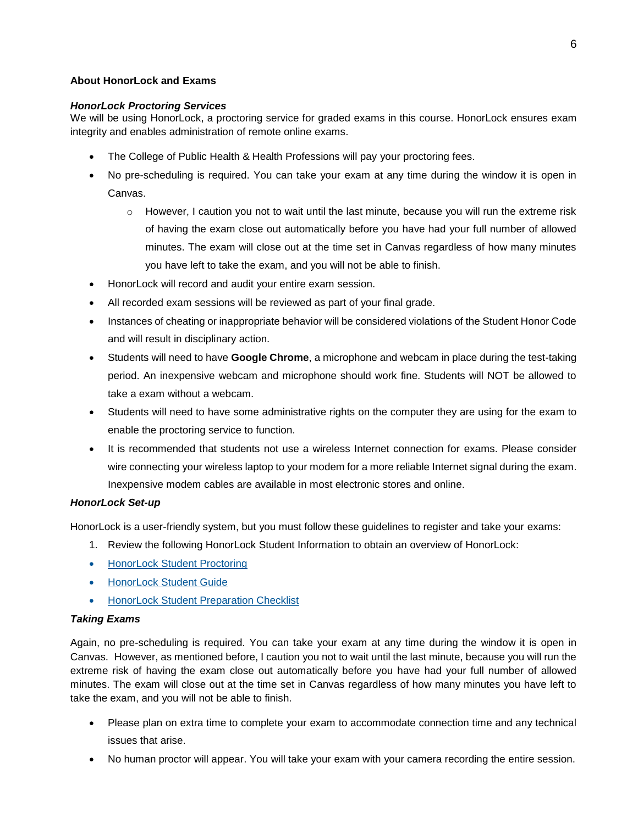# **About HonorLock and Exams**

# *HonorLock Proctoring Services*

We will be using HonorLock, a proctoring service for graded exams in this course. HonorLock ensures exam integrity and enables administration of remote online exams.

- The College of Public Health & Health Professions will pay your proctoring fees.
- No pre-scheduling is required. You can take your exam at any time during the window it is open in Canvas.
	- $\circ$  However, I caution you not to wait until the last minute, because you will run the extreme risk of having the exam close out automatically before you have had your full number of allowed minutes. The exam will close out at the time set in Canvas regardless of how many minutes you have left to take the exam, and you will not be able to finish.
- HonorLock will record and audit your entire exam session.
- All recorded exam sessions will be reviewed as part of your final grade.
- Instances of cheating or inappropriate behavior will be considered violations of the Student Honor Code and will result in disciplinary action.
- Students will need to have **Google Chrome**, a microphone and webcam in place during the test-taking period. An inexpensive webcam and microphone should work fine. Students will NOT be allowed to take a exam without a webcam.
- Students will need to have some administrative rights on the computer they are using for the exam to enable the proctoring service to function.
- It is recommended that students not use a wireless Internet connection for exams. Please consider wire connecting your wireless laptop to your modem for a more reliable Internet signal during the exam. Inexpensive modem cables are available in most electronic stores and online.

# *HonorLock Set-up*

HonorLock is a user-friendly system, but you must follow these guidelines to register and take your exams:

- 1. Review the following HonorLock Student Information to obtain an overview of HonorLock:
- [HonorLock Student Proctoring](https://honorlock.com/students)
- [HonorLock Student Guide](http://phhp-mph-studentlife-online.sites.medinfo.ufl.edu/wordpress/files/2019/01/Student_Guide.pdf)
- **[HonorLock Student Preparation Checklist](http://phhp-mph-studentlife-online.sites.medinfo.ufl.edu/wordpress/files/2019/01/StudentPreparationLinks.pdf)**

# *Taking Exams*

Again, no pre-scheduling is required. You can take your exam at any time during the window it is open in Canvas. However, as mentioned before, I caution you not to wait until the last minute, because you will run the extreme risk of having the exam close out automatically before you have had your full number of allowed minutes. The exam will close out at the time set in Canvas regardless of how many minutes you have left to take the exam, and you will not be able to finish.

- Please plan on extra time to complete your exam to accommodate connection time and any technical issues that arise.
- No human proctor will appear. You will take your exam with your camera recording the entire session.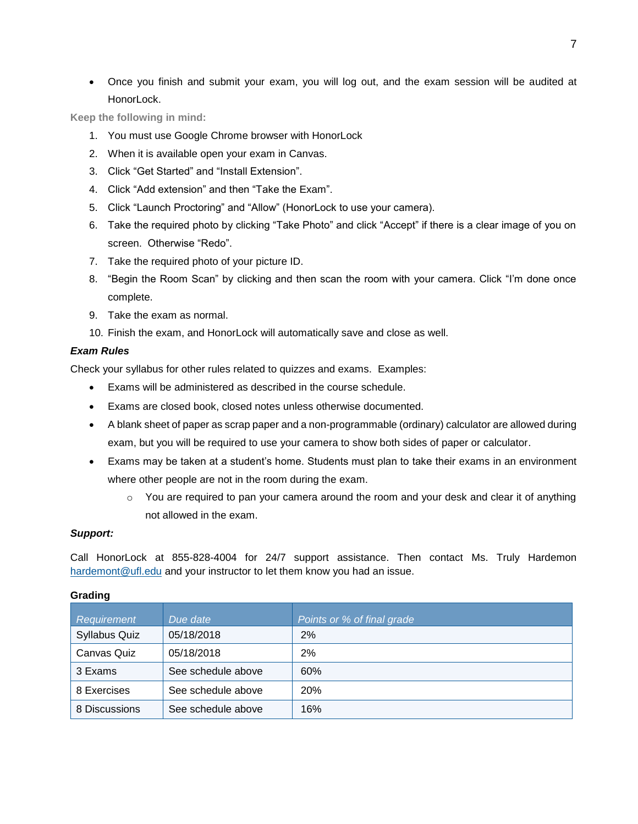Once you finish and submit your exam, you will log out, and the exam session will be audited at HonorLock.

**Keep the following in mind:**

- 1. You must use Google Chrome browser with HonorLock
- 2. When it is available open your exam in Canvas.
- 3. Click "Get Started" and "Install Extension".
- 4. Click "Add extension" and then "Take the Exam".
- 5. Click "Launch Proctoring" and "Allow" (HonorLock to use your camera).
- 6. Take the required photo by clicking "Take Photo" and click "Accept" if there is a clear image of you on screen. Otherwise "Redo".
- 7. Take the required photo of your picture ID.
- 8. "Begin the Room Scan" by clicking and then scan the room with your camera. Click "I'm done once complete.
- 9. Take the exam as normal.
- 10. Finish the exam, and HonorLock will automatically save and close as well.

#### *Exam Rules*

Check your syllabus for other rules related to quizzes and exams. Examples:

- Exams will be administered as described in the course schedule.
- Exams are closed book, closed notes unless otherwise documented.
- A blank sheet of paper as scrap paper and a non-programmable (ordinary) calculator are allowed during exam, but you will be required to use your camera to show both sides of paper or calculator.
- Exams may be taken at a student's home. Students must plan to take their exams in an environment where other people are not in the room during the exam.
	- o You are required to pan your camera around the room and your desk and clear it of anything not allowed in the exam.

#### *Support:*

Call HonorLock at 855-828-4004 for 24/7 support assistance. Then contact Ms. Truly Hardemon [hardemont@ufl.edu](mailto:hardemont@ufl.edu) and your instructor to let them know you had an issue.

| Requirement          | Due date           | Points or % of final grade |
|----------------------|--------------------|----------------------------|
| <b>Syllabus Quiz</b> | 05/18/2018         | 2%                         |
| Canvas Quiz          | 05/18/2018         | 2%                         |
| 3 Exams              | See schedule above | 60%                        |
| 8 Exercises          | See schedule above | <b>20%</b>                 |
| 8 Discussions        | See schedule above | 16%                        |

#### **Grading**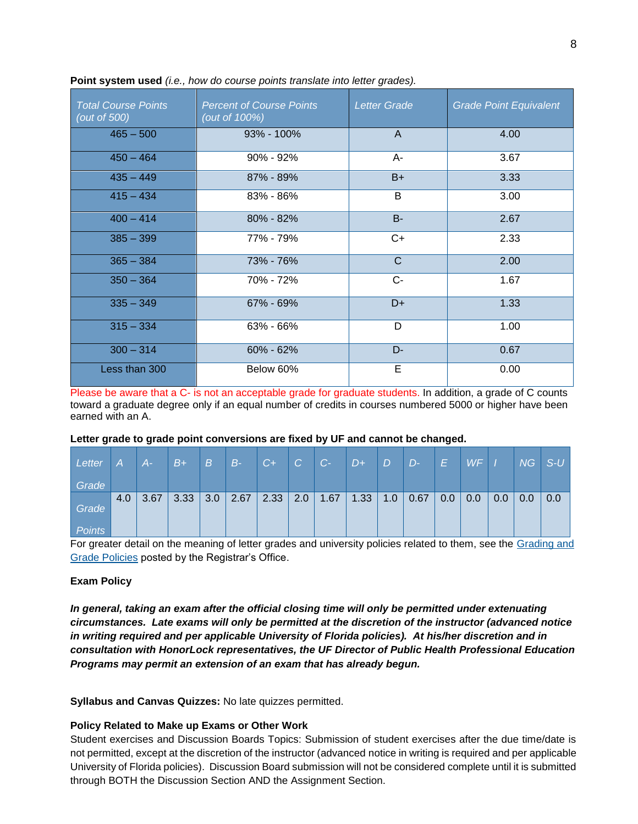| <b>Total Course Points</b><br>(out of 500) | <b>Percent of Course Points</b><br>(out of 100%) | <b>Letter Grade</b> | <b>Grade Point Equivalent</b> |
|--------------------------------------------|--------------------------------------------------|---------------------|-------------------------------|
| $465 - 500$                                | $93\% - 100\%$                                   | $\mathsf{A}$        | 4.00                          |
| $450 - 464$                                | $90\% - 92\%$                                    | A-                  | 3.67                          |
| $435 - 449$                                | 87% - 89%                                        | $B+$                | 3.33                          |
| $415 - 434$                                | 83% - 86%                                        | B                   | 3.00                          |
| $400 - 414$                                | $80\% - 82\%$                                    | <b>B-</b>           | 2.67                          |
| $385 - 399$                                | 77% - 79%                                        | $C+$                | 2.33                          |
| $365 - 384$                                | 73% - 76%                                        | $\mathsf{C}$        | 2.00                          |
| $350 - 364$                                | 70% - 72%                                        | $C -$               | 1.67                          |
| $335 - 349$                                | 67% - 69%                                        | $D+$                | 1.33                          |
| $315 - 334$                                | 63% - 66%                                        | D                   | 1.00                          |
| $300 - 314$                                | $60\% - 62\%$                                    | $D -$               | 0.67                          |
| Less than 300                              | Below 60%                                        | Е                   | 0.00                          |

**Point system used** *(i.e., how do course points translate into letter grades).*

Please be aware that a C- is not an acceptable grade for graduate students. In addition, a grade of C counts toward a graduate degree only if an equal number of credits in courses numbered 5000 or higher have been earned with an A.

#### **Letter grade to grade point conversions are fixed by UF and cannot be changed.**

| Letter          | A   | $A-$ | $\overline{B+}$ | $\lfloor B \rfloor$ | $B-$ | $C+1$ | C   | $ C-$ | $D+$ | D   | $\overline{D}$ | IEI | WF  |     | NG  | $\mathsf{S}\text{-}\mathsf{U}$ |
|-----------------|-----|------|-----------------|---------------------|------|-------|-----|-------|------|-----|----------------|-----|-----|-----|-----|--------------------------------|
| Grade           |     |      |                 |                     |      |       |     |       |      |     |                |     |     |     |     |                                |
| Grade<br>Points | 4.0 | 3.67 | 3.33            | 3.0                 | 2.67 | 2.33  | 2.0 | 1.67  | 1.33 | 1.0 | 0.67           | 0.0 | 0.0 | 0.0 | 0.0 | 0.0                            |

For greater detail on the meaning of letter grades and university policies related to them, see the Grading and [Grade Policies](https://catalog.ufl.edu/ugrad/current/regulations/info/grades.aspx) posted by the Registrar's Office.

#### **Exam Policy**

*In general, taking an exam after the official closing time will only be permitted under extenuating circumstances. Late exams will only be permitted at the discretion of the instructor (advanced notice in writing required and per applicable University of Florida policies). At his/her discretion and in consultation with HonorLock representatives, the UF Director of Public Health Professional Education Programs may permit an extension of an exam that has already begun.* 

**Syllabus and Canvas Quizzes:** No late quizzes permitted.

#### **Policy Related to Make up Exams or Other Work**

Student exercises and Discussion Boards Topics: Submission of student exercises after the due time/date is not permitted, except at the discretion of the instructor (advanced notice in writing is required and per applicable University of Florida policies). Discussion Board submission will not be considered complete until it is submitted through BOTH the Discussion Section AND the Assignment Section.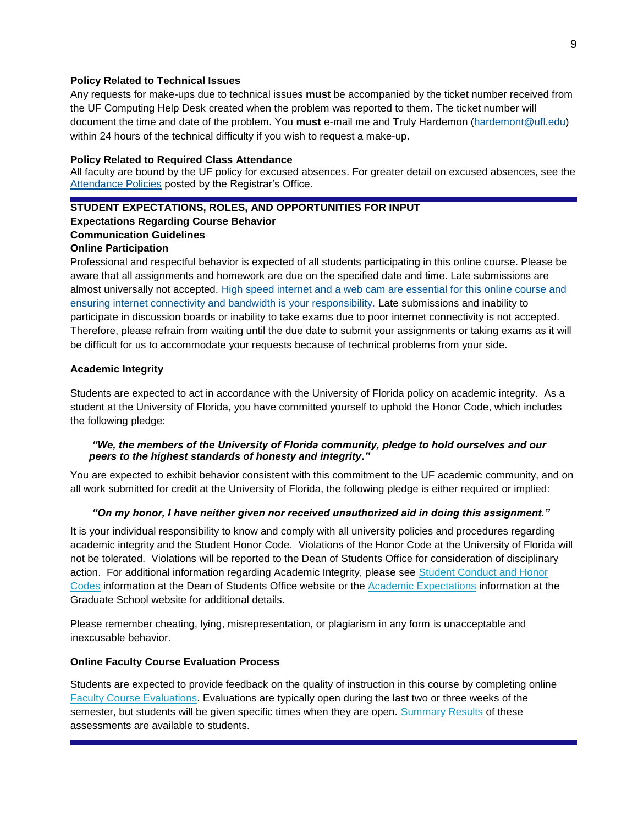### **Policy Related to Technical Issues**

Any requests for make-ups due to technical issues **must** be accompanied by the ticket number received from the UF Computing Help Desk created when the problem was reported to them. The ticket number will document the time and date of the problem. You **must** e-mail me and Truly Hardemon [\(hardemont@ufl.edu\)](mailto:hardemont@ufl.edu) within 24 hours of the technical difficulty if you wish to request a make-up.

#### **Policy Related to Required Class Attendance**

All faculty are bound by the UF policy for excused absences. For greater detail on excused absences, see the [Attendance Policies](https://catalog.ufl.edu/ugrad/current/regulations/info/attendance.aspx) posted by the Registrar's Office.

# **STUDENT EXPECTATIONS, ROLES, AND OPPORTUNITIES FOR INPUT**

# **Expectations Regarding Course Behavior**

# **Communication Guidelines**

### **Online Participation**

Professional and respectful behavior is expected of all students participating in this online course. Please be aware that all assignments and homework are due on the specified date and time. Late submissions are almost universally not accepted. High speed internet and a web cam are essential for this online course and ensuring internet connectivity and bandwidth is your responsibility. Late submissions and inability to participate in discussion boards or inability to take exams due to poor internet connectivity is not accepted. Therefore, please refrain from waiting until the due date to submit your assignments or taking exams as it will be difficult for us to accommodate your requests because of technical problems from your side.

# **Academic Integrity**

Students are expected to act in accordance with the University of Florida policy on academic integrity. As a student at the University of Florida, you have committed yourself to uphold the Honor Code, which includes the following pledge:

# *"We, the members of the University of Florida community, pledge to hold ourselves and our peers to the highest standards of honesty and integrity."*

You are expected to exhibit behavior consistent with this commitment to the UF academic community, and on all work submitted for credit at the University of Florida, the following pledge is either required or implied:

# *"On my honor, I have neither given nor received unauthorized aid in doing this assignment."*

It is your individual responsibility to know and comply with all university policies and procedures regarding academic integrity and the Student Honor Code. Violations of the Honor Code at the University of Florida will not be tolerated. Violations will be reported to the Dean of Students Office for consideration of disciplinary action. For additional information regarding Academic Integrity, please see [Student Conduct and Honor](https://sccr.dso.ufl.edu/)  [Codes](https://sccr.dso.ufl.edu/) information at the Dean of Students Office website or the [Academic Expectations](http://graduateschool.ufl.edu/admissions/orientation/academic-expectations/) information at the Graduate School website for additional details.

Please remember cheating, lying, misrepresentation, or plagiarism in any form is unacceptable and inexcusable behavior.

# **Online Faculty Course Evaluation Process**

Students are expected to provide feedback on the quality of instruction in this course by completing online [Faculty Course Evaluations.](https://evaluations.ufl.edu/) Evaluations are typically open during the last two or three weeks of the semester, but students will be given specific times when they are open. [Summary Results](https://evaluations.ufl.edu/results/) of these assessments are available to students.